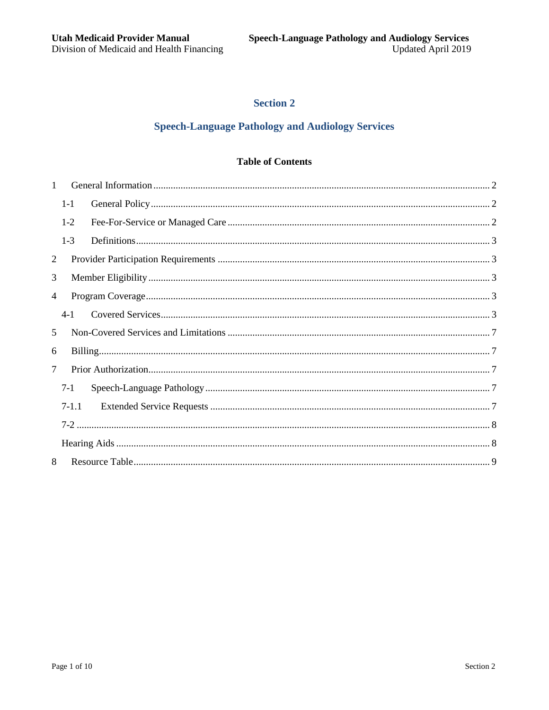# **Section 2**

# **Speech-Language Pathology and Audiology Services**

# **Table of Contents**

| $\mathbf{1}$   |         |  |  |  |
|----------------|---------|--|--|--|
|                | $1-1$   |  |  |  |
|                | $1-2$   |  |  |  |
|                | $1-3$   |  |  |  |
| 2              |         |  |  |  |
| 3              |         |  |  |  |
| 4              |         |  |  |  |
|                | $4-1$   |  |  |  |
| 5              |         |  |  |  |
| 6              |         |  |  |  |
| $\overline{7}$ |         |  |  |  |
|                | $7 - 1$ |  |  |  |
|                | $7-1.1$ |  |  |  |
|                |         |  |  |  |
|                |         |  |  |  |
| 8              |         |  |  |  |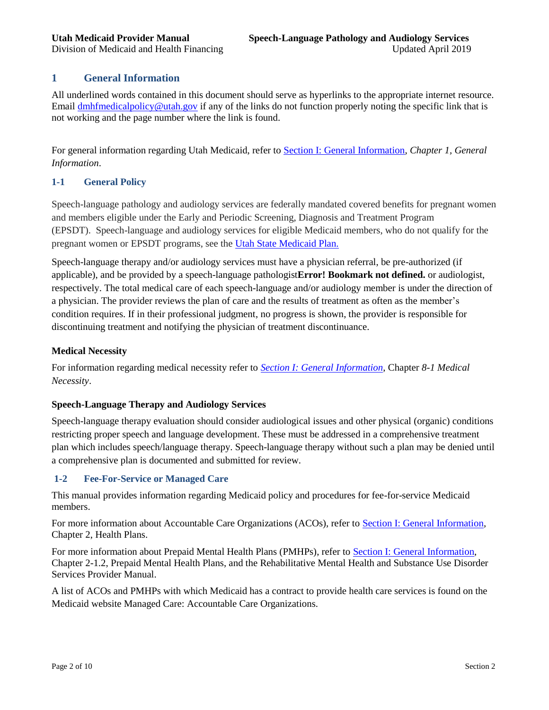# <span id="page-1-0"></span>**1 General Information**

All underlined words contained in this document should serve as hyperlinks to the appropriate internet resource. Email [dmhfmedicalpolicy@utah.gov](mailto:dmhfmedicalpolicy@utah.gov) if any of the links do not function properly noting the specific link that is not working and the page number where the link is found.

For general information regarding Utah Medicaid, refer to [Section I: General Information,](https://medicaid.utah.gov/Documents/manuals/pdfs/Medicaid%20Provider%20Manuals/All%20Providers%20General%20Information%20Section%20I/AllProvidersGeneralInfo_Section_1.pdf) *Chapter 1, General Information*.

# <span id="page-1-1"></span>**1-1 General Policy**

Speech-language pathology and audiology services are federally mandated covered benefits for pregnant women and members eligible under the Early and Periodic Screening, Diagnosis and Treatment Program (EPSDT). Speech-language and audiology services for eligible Medicaid members, who do not qualify for the pregnant women or EPSDT programs, see the [Utah State Medicaid Plan.](https://health.utah.gov/stplan/spa/A_3-01-A.pdf)

Speech-language therapy and/or audiology services must have a physician referral, be pre-authorized (if applicable), and be provided by a speech-language pathologist**Error! Bookmark not defined.** or audiologist, respectively. The total medical care of each speech-language and/or audiology member is under the direction of a physician. The provider reviews the plan of care and the results of treatment as often as the member's condition requires. If in their professional judgment, no progress is shown, the provider is responsible for discontinuing treatment and notifying the physician of treatment discontinuance.

### **Medical Necessity**

For information regarding medical necessity refer to *[Section I: General Information](https://medicaid.utah.gov/Documents/manuals/pdfs/Medicaid%20Provider%20Manuals/All%20Providers%20General%20Information%20Section%20I/AllProvidersGeneralInfo_Section_1.pdf)*, Chapter *8-1 Medical Necessity*.

# **Speech-Language Therapy and Audiology Services**

Speech-language therapy evaluation should consider audiological issues and other physical (organic) conditions restricting proper speech and language development. These must be addressed in a comprehensive treatment plan which includes speech/language therapy. Speech-language therapy without such a plan may be denied until a comprehensive plan is documented and submitted for review.

# <span id="page-1-2"></span>**1-2 Fee-For-Service or Managed Care**

This manual provides information regarding Medicaid policy and procedures for fee-for-service Medicaid members.

For more information about Accountable Care Organizations (ACOs), refer to [Section I: General Information,](https://medicaid.utah.gov/Documents/manuals/pdfs/Medicaid%20Provider%20Manuals/All%20Providers%20General%20Information%20Section%20I/AllProvidersGeneralInfo_Section_1.pdf) Chapter 2, Health Plans.

For more information about Prepaid Mental Health Plans (PMHPs), refer to Section I: [General Information,](https://medicaid.utah.gov/Documents/manuals/pdfs/Medicaid%20Provider%20Manuals/All%20Providers%20General%20Information%20Section%20I/AllProvidersGeneralInfo_Section_1.pdf) Chapter 2-1.2, Prepaid Mental Health Plans, and the Rehabilitative Mental Health and Substance Use Disorder Services Provider Manual.

A list of ACOs and PMHPs with which Medicaid has a contract to provide health care services is found on the Medicaid website Managed Care: Accountable Care Organizations.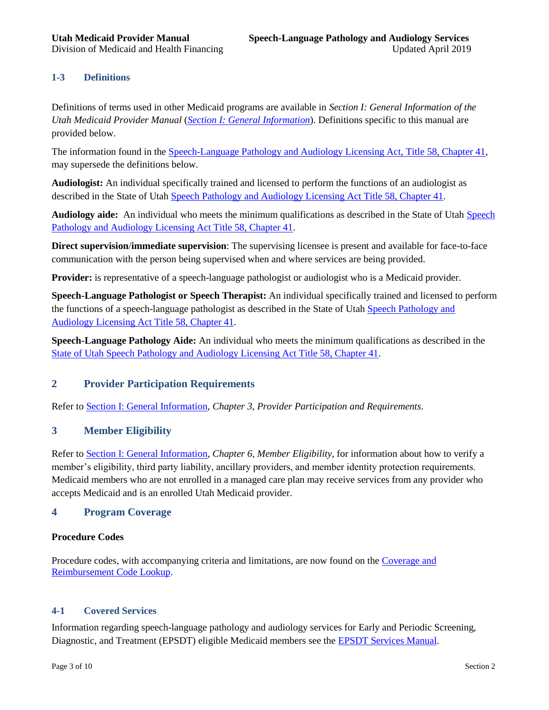# <span id="page-2-0"></span>**1-3 Definitions**

Definitions of terms used in other Medicaid programs are available in *Section I: General Information of the Utah Medicaid Provider Manual* (*[Section I: General Information](https://medicaid.utah.gov/Documents/manuals/pdfs/Medicaid%20Provider%20Manuals/All%20Providers%20General%20Information%20Section%20I/AllProvidersGeneralInfo_Section_1.pdf)*). Definitions specific to this manual are provided below.

The information found in the [Speech-Language Pathology and Audiology Licensing Act, Title 58, Chapter 41,](https://le.utah.gov/xcode/Title58/Chapter41/58-41.html?v=C58-41_1800010118000101) may supersede the definitions below.

**Audiologist:** An individual specifically trained and licensed to perform the functions of an audiologist as described in the State of Utah [Speech Pathology and Audiology Licensing Act Title 58, Chapter 41.](https://le.utah.gov/xcode/Title58/Chapter41/58-41.html?v=C58-41_1800010118000101)

**Audiology aide:** An individual who meets the minimum qualifications as described in the State of Utah [Speech](https://le.utah.gov/xcode/Title58/Chapter41/58-41.html?v=C58-41_1800010118000101)  [Pathology and Audiology Licensing Act Title 58, Chapter 41.](https://le.utah.gov/xcode/Title58/Chapter41/58-41.html?v=C58-41_1800010118000101)

**Direct supervision**/**immediate supervision**: The supervising licensee is present and available for face-to-face communication with the person being supervised when and where services are being provided.

**Provider:** is representative of a speech-language pathologist or audiologist who is a Medicaid provider.

**Speech-Language Pathologist or Speech Therapist:** An individual specifically trained and licensed to perform the functions of a speech-language pathologist as described in the State of Utah [Speech Pathology and](https://le.utah.gov/xcode/Title58/Chapter41/58-41.html?v=C58-41_1800010118000101)  [Audiology Licensing Act Title 58, Chapter 41.](https://le.utah.gov/xcode/Title58/Chapter41/58-41.html?v=C58-41_1800010118000101)

**Speech-Language Pathology Aide:** An individual who meets the minimum qualifications as described in the [State of Utah Speech Pathology and Audiology Licensing Act Title 58, Chapter 41.](https://le.utah.gov/xcode/Title58/Chapter41/58-41.html?v=C58-41_1800010118000101)

# <span id="page-2-1"></span>**2 Provider Participation Requirements**

Refer to [Section I: General Information,](https://medicaid.utah.gov/Documents/manuals/pdfs/Medicaid%20Provider%20Manuals/All%20Providers%20General%20Information%20Section%20I/AllProvidersGeneralInfo_Section_1.pdf) *Chapter 3, Provider Participation and Requirements*.

### <span id="page-2-2"></span>**3 Member Eligibility**

Refer to [Section I: General Information,](https://medicaid.utah.gov/Documents/manuals/pdfs/Medicaid%20Provider%20Manuals/All%20Providers%20General%20Information%20Section%20I/AllProvidersGeneralInfo_Section_1.pdf) *Chapter 6, Member Eligibility*, for information about how to verify a member's eligibility, third party liability, ancillary providers, and member identity protection requirements. Medicaid members who are not enrolled in a managed care plan may receive services from any provider who accepts Medicaid and is an enrolled Utah Medicaid provider.

# <span id="page-2-3"></span>**4 Program Coverage**

#### **Procedure Codes**

Procedure codes, with accompanying criteria and limitations, are now found on the [Coverage and](http://health.utah.gov/medicaid/stplan/lookup/CoverageLookup.php)  [Reimbursement Code Lookup.](http://health.utah.gov/medicaid/stplan/lookup/CoverageLookup.php)

#### <span id="page-2-4"></span>**4-1 Covered Services**

Information regarding speech-language pathology and audiology services for Early and Periodic Screening, Diagnostic, and Treatment (EPSDT) eligible Medicaid members see the [EPSDT Services](https://medicaid.utah.gov/Documents/manuals/pdfs/Medicaid%20Provider%20Manuals/EPSDT%20(Formerly%20Child%20Health%20Evaluation%20And%20Care%20(CHEC))/EPSDT(CHEC)1-19.pdf) Manual.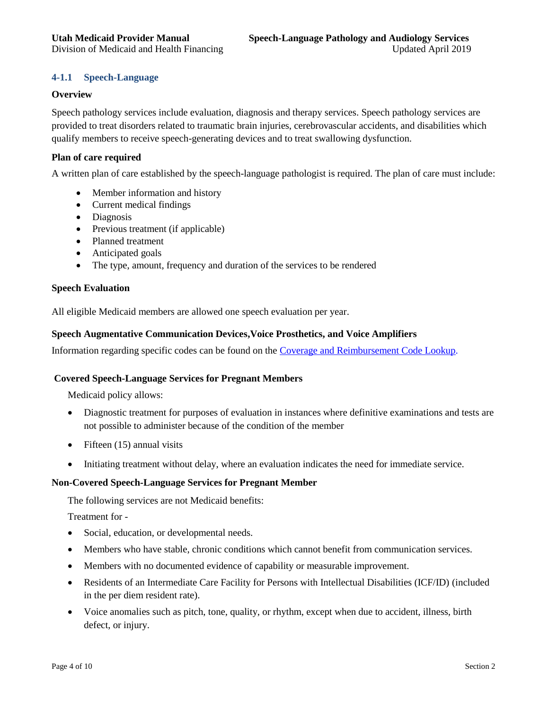# **4-1.1 Speech-Language**

#### **Overview**

Speech pathology services include evaluation, diagnosis and therapy services. Speech pathology services are provided to treat disorders related to traumatic brain injuries, cerebrovascular accidents, and disabilities which qualify members to receive speech-generating devices and to treat swallowing dysfunction.

#### **Plan of care required**

A written plan of care established by the speech-language pathologist is required. The plan of care must include:

- Member information and history
- Current medical findings
- Diagnosis
- Previous treatment (if applicable)
- Planned treatment
- Anticipated goals
- The type, amount, frequency and duration of the services to be rendered

#### **Speech Evaluation**

All eligible Medicaid members are allowed one speech evaluation per year.

#### **Speech Augmentative Communication Devices,Voice Prosthetics, and Voice Amplifiers**

Information regarding specific codes can be found on the [Coverage and Reimbursement Code Lookup.](http://health.utah.gov/medicaid/stplan/lookup/CoverageLookup.php)

#### **Covered Speech-Language Services for Pregnant Members**

Medicaid policy allows:

- Diagnostic treatment for purposes of evaluation in instances where definitive examinations and tests are not possible to administer because of the condition of the member
- $\bullet$  Fifteen (15) annual visits
- Initiating treatment without delay, where an evaluation indicates the need for immediate service.

#### **Non-Covered Speech-Language Services for Pregnant Member**

The following services are not Medicaid benefits:

Treatment for -

- Social, education, or developmental needs.
- Members who have stable, chronic conditions which cannot benefit from communication services.
- Members with no documented evidence of capability or measurable improvement.
- Residents of an Intermediate Care Facility for Persons with Intellectual Disabilities (ICF/ID) (included in the per diem resident rate).
- Voice anomalies such as pitch, tone, quality, or rhythm, except when due to accident, illness, birth defect, or injury.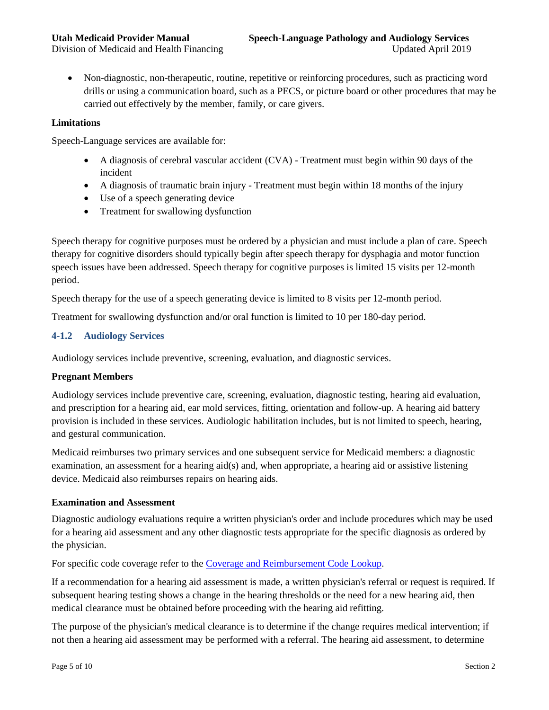Non-diagnostic, non-therapeutic, routine, repetitive or reinforcing procedures, such as practicing word drills or using a communication board, such as a PECS, or picture board or other procedures that may be carried out effectively by the member, family, or care givers.

#### **Limitations**

Speech-Language services are available for:

- A diagnosis of cerebral vascular accident (CVA) Treatment must begin within 90 days of the incident
- A diagnosis of traumatic brain injury Treatment must begin within 18 months of the injury
- Use of a speech generating device
- Treatment for swallowing dysfunction

Speech therapy for cognitive purposes must be ordered by a physician and must include a plan of care. Speech therapy for cognitive disorders should typically begin after speech therapy for dysphagia and motor function speech issues have been addressed. Speech therapy for cognitive purposes is limited 15 visits per 12-month period.

Speech therapy for the use of a speech generating device is limited to 8 visits per 12-month period.

Treatment for swallowing dysfunction and/or oral function is limited to 10 per 180-day period.

# **4-1.2 Audiology Services**

Audiology services include preventive, screening, evaluation, and diagnostic services.

#### **Pregnant Members**

Audiology services include preventive care, screening, evaluation, diagnostic testing, hearing aid evaluation, and prescription for a hearing aid, ear mold services, fitting, orientation and follow-up. A hearing aid battery provision is included in these services. Audiologic habilitation includes, but is not limited to speech, hearing, and gestural communication.

Medicaid reimburses two primary services and one subsequent service for Medicaid members: a diagnostic examination, an assessment for a hearing aid(s) and, when appropriate, a hearing aid or assistive listening device. Medicaid also reimburses repairs on hearing aids.

#### **Examination and Assessment**

Diagnostic audiology evaluations require a written physician's order and include procedures which may be used for a hearing aid assessment and any other diagnostic tests appropriate for the specific diagnosis as ordered by the physician.

For specific code coverage refer to the [Coverage and Reimbursement Code Lookup.](http://health.utah.gov/medicaid/stplan/lookup/CoverageLookup.php)

If a recommendation for a hearing aid assessment is made, a written physician's referral or request is required. If subsequent hearing testing shows a change in the hearing thresholds or the need for a new hearing aid, then medical clearance must be obtained before proceeding with the hearing aid refitting.

The purpose of the physician's medical clearance is to determine if the change requires medical intervention; if not then a hearing aid assessment may be performed with a referral. The hearing aid assessment, to determine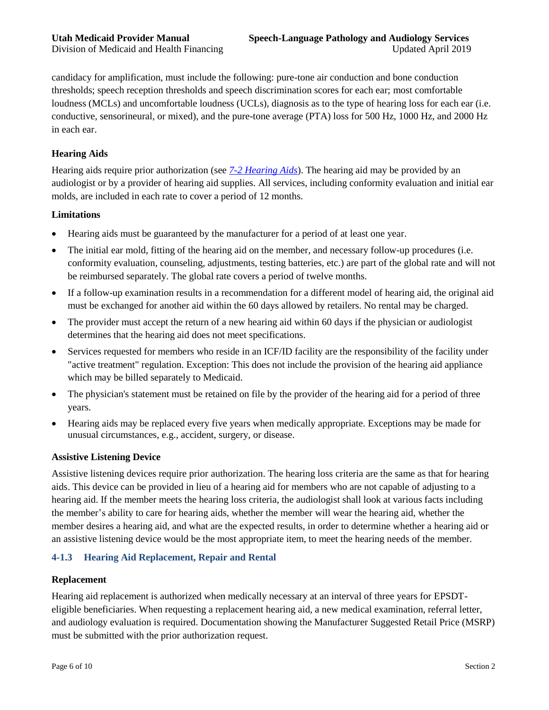candidacy for amplification, must include the following: pure-tone air conduction and bone conduction thresholds; speech reception thresholds and speech discrimination scores for each ear; most comfortable loudness (MCLs) and uncomfortable loudness (UCLs), diagnosis as to the type of hearing loss for each ear (i.e. conductive, sensorineural, or mixed), and the pure-tone average (PTA) loss for 500 Hz, 1000 Hz, and 2000 Hz in each ear.

# **Hearing Aids**

Hearing aids require prior authorization (see *[7-2 Hearing Aids](#page-7-0)*). The hearing aid may be provided by an audiologist or by a provider of hearing aid supplies. All services, including conformity evaluation and initial ear molds, are included in each rate to cover a period of 12 months.

#### **Limitations**

- Hearing aids must be guaranteed by the manufacturer for a period of at least one year.
- The initial ear mold, fitting of the hearing aid on the member, and necessary follow-up procedures (i.e. conformity evaluation, counseling, adjustments, testing batteries, etc.) are part of the global rate and will not be reimbursed separately. The global rate covers a period of twelve months.
- If a follow-up examination results in a recommendation for a different model of hearing aid, the original aid must be exchanged for another aid within the 60 days allowed by retailers. No rental may be charged.
- The provider must accept the return of a new hearing aid within 60 days if the physician or audiologist determines that the hearing aid does not meet specifications.
- Services requested for members who reside in an ICF/ID facility are the responsibility of the facility under "active treatment" regulation. Exception: This does not include the provision of the hearing aid appliance which may be billed separately to Medicaid.
- The physician's statement must be retained on file by the provider of the hearing aid for a period of three years.
- Hearing aids may be replaced every five years when medically appropriate. Exceptions may be made for unusual circumstances, e.g., accident, surgery, or disease.

#### **Assistive Listening Device**

Assistive listening devices require prior authorization. The hearing loss criteria are the same as that for hearing aids. This device can be provided in lieu of a hearing aid for members who are not capable of adjusting to a hearing aid. If the member meets the hearing loss criteria, the audiologist shall look at various facts including the member's ability to care for hearing aids, whether the member will wear the hearing aid, whether the member desires a hearing aid, and what are the expected results, in order to determine whether a hearing aid or an assistive listening device would be the most appropriate item, to meet the hearing needs of the member.

# **4-1.3 Hearing Aid Replacement, Repair and Rental**

#### **Replacement**

Hearing aid replacement is authorized when medically necessary at an interval of three years for EPSDTeligible beneficiaries. When requesting a replacement hearing aid, a new medical examination, referral letter, and audiology evaluation is required. Documentation showing the Manufacturer Suggested Retail Price (MSRP) must be submitted with the prior authorization request.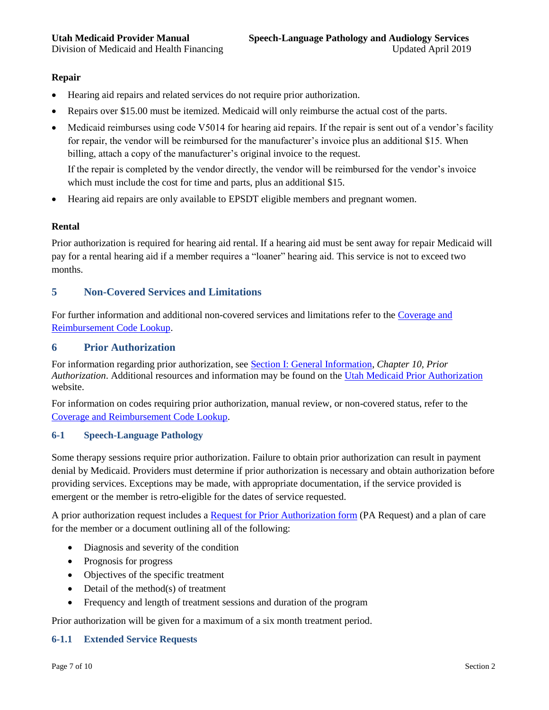<span id="page-6-1"></span>

### **Repair**

- Hearing aid repairs and related services do not require prior authorization.
- Repairs over \$15.00 must be itemized. Medicaid will only reimburse the actual cost of the parts.
- Medicaid reimburses using code V5014 for hearing aid repairs. If the repair is sent out of a vendor's facility for repair, the vendor will be reimbursed for the manufacturer's invoice plus an additional \$15. When billing, attach a copy of the manufacturer's original invoice to the request.

If the repair is completed by the vendor directly, the vendor will be reimbursed for the vendor's invoice which must include the cost for time and parts, plus an additional \$15.

Hearing aid repairs are only available to EPSDT eligible members and pregnant women.

# **Rental**

Prior authorization is required for hearing aid rental. If a hearing aid must be sent away for repair Medicaid will pay for a rental hearing aid if a member requires a "loaner" hearing aid. This service is not to exceed two months.

# <span id="page-6-0"></span>**5 Non-Covered Services and Limitations**

For further information and additional non-covered services and limitations refer to th[e Coverage and](http://health.utah.gov/medicaid/stplan/lookup/CoverageLookup.php)  [Reimbursement Code Lookup.](http://health.utah.gov/medicaid/stplan/lookup/CoverageLookup.php)

# <span id="page-6-2"></span>**6 Prior Authorization**

For information regarding prior authorization, see [Section I: General Information,](https://medicaid.utah.gov/Documents/manuals/pdfs/Medicaid%20Provider%20Manuals/All%20Providers%20General%20Information%20Section%20I/AllProvidersGeneralInfo_Section_1.pdf) *Chapter 10, Prior Authorization*. Additional resources and information may be found on the [Utah Medicaid Prior Authorization](https://medicaid.utah.gov/prior-authorization) website.

For information on codes requiring prior authorization, manual review, or non-covered status, refer to the [Coverage and Reimbursement Code Lookup.](https://health.utah.gov/stplan/lookup/CoverageLookup.php)

#### <span id="page-6-3"></span>**6-1 Speech-Language Pathology**

Some therapy sessions require prior authorization. Failure to obtain prior authorization can result in payment denial by Medicaid. Providers must determine if prior authorization is necessary and obtain authorization before providing services. Exceptions may be made, with appropriate documentation, if the service provided is emergent or the member is retro-eligible for the dates of service requested.

A prior authorization request includes a [Request for Prior Authorization form](https://medicaid.utah.gov/Documents/pdfs/Forms/PriorAuth7-17.pdf) (PA Request) and a plan of care for the member or a document outlining all of the following:

- Diagnosis and severity of the condition
- Prognosis for progress
- Objectives of the specific treatment
- Detail of the method(s) of treatment
- Frequency and length of treatment sessions and duration of the program

Prior authorization will be given for a maximum of a six month treatment period.

#### <span id="page-6-4"></span>**6-1.1 Extended Service Requests**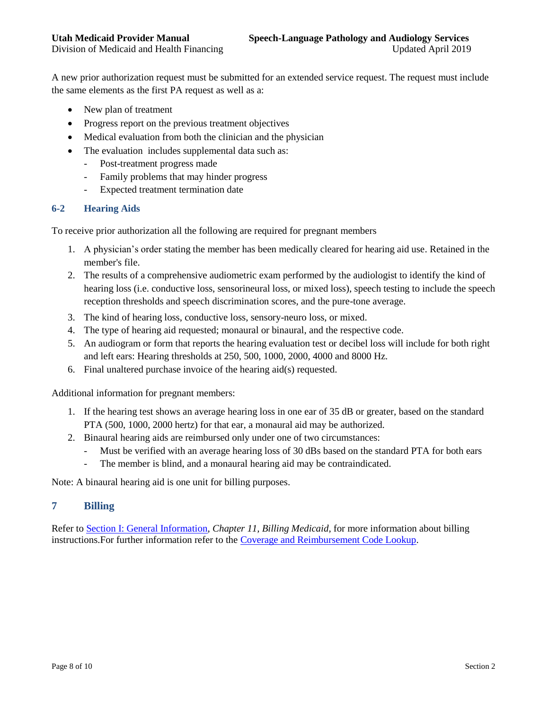A new prior authorization request must be submitted for an extended service request. The request must include the same elements as the first PA request as well as a:

- New plan of treatment
- Progress report on the previous treatment objectives
- Medical evaluation from both the clinician and the physician
- The evaluation includes supplemental data such as:
	- Post-treatment progress made
	- Family problems that may hinder progress
	- Expected treatment termination date

#### <span id="page-7-1"></span><span id="page-7-0"></span>**6-2 Hearing Aids**

To receive prior authorization all the following are required for pregnant members

- 1. A physician's order stating the member has been medically cleared for hearing aid use. Retained in the member's file.
- 2. The results of a comprehensive audiometric exam performed by the audiologist to identify the kind of hearing loss (i.e. conductive loss, sensorineural loss, or mixed loss), speech testing to include the speech reception thresholds and speech discrimination scores, and the pure-tone average.
- 3. The kind of hearing loss, conductive loss, sensory-neuro loss, or mixed.
- 4. The type of hearing aid requested; monaural or binaural, and the respective code.
- 5. An audiogram or form that reports the hearing evaluation test or decibel loss will include for both right and left ears: Hearing thresholds at 250, 500, 1000, 2000, 4000 and 8000 Hz.
- 6. Final unaltered purchase invoice of the hearing aid(s) requested.

Additional information for pregnant members:

- 1. If the hearing test shows an average hearing loss in one ear of 35 dB or greater, based on the standard PTA (500, 1000, 2000 hertz) for that ear, a monaural aid may be authorized.
- 2. Binaural hearing aids are reimbursed only under one of two circumstances:
	- Must be verified with an average hearing loss of 30 dBs based on the standard PTA for both ears
	- The member is blind, and a monaural hearing aid may be contraindicated.

Note: A binaural hearing aid is one unit for billing purposes.

# **7 Billing**

Refer to [Section I: General Information,](https://medicaid.utah.gov/Documents/manuals/pdfs/Medicaid%20Provider%20Manuals/All%20Providers%20General%20Information%20Section%20I/AllProvidersGeneralInfo_Section_1.pdf) *Chapter 11, Billing Medicaid*, for more information about billing instructions.For further information refer to the [Coverage and Reimbursement Code Lookup.](http://health.utah.gov/medicaid/stplan/lookup/CoverageLookup.php)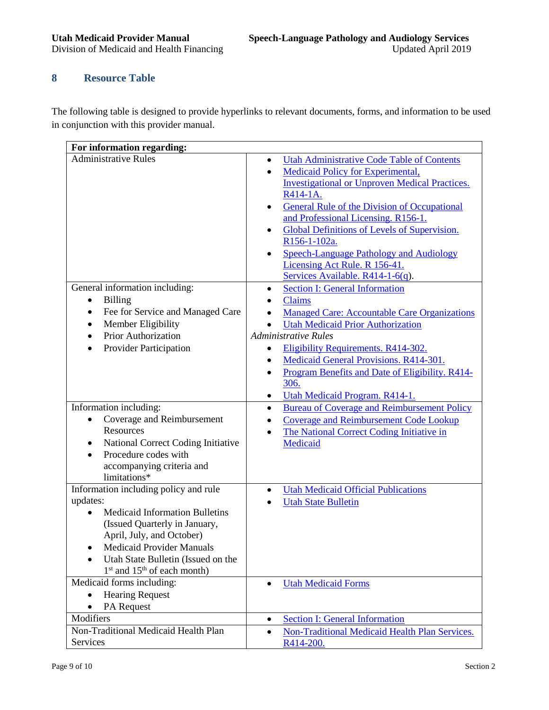Division of Medicaid and Health Financing

# <span id="page-8-0"></span>**8 Resource Table**

The following table is designed to provide hyperlinks to relevant documents, forms, and information to be used in conjunction with this provider manual.

| For information regarding:                                                                                                                                                                                                                                                         |                                                                                                                                                                                                                                                                                                                                                                                                                                                                                                |  |  |  |
|------------------------------------------------------------------------------------------------------------------------------------------------------------------------------------------------------------------------------------------------------------------------------------|------------------------------------------------------------------------------------------------------------------------------------------------------------------------------------------------------------------------------------------------------------------------------------------------------------------------------------------------------------------------------------------------------------------------------------------------------------------------------------------------|--|--|--|
| <b>Administrative Rules</b>                                                                                                                                                                                                                                                        | <b>Utah Administrative Code Table of Contents</b><br>$\bullet$<br>Medicaid Policy for Experimental,<br>$\bullet$<br><b>Investigational or Unproven Medical Practices.</b><br>R414-1A.<br><b>General Rule of the Division of Occupational</b><br>and Professional Licensing. R156-1.<br><b>Global Definitions of Levels of Supervision.</b><br>$\bullet$<br>R156-1-102a.<br><b>Speech-Language Pathology and Audiology</b><br>Licensing Act Rule. R 156-41.<br>Services Available. R414-1-6(q). |  |  |  |
| General information including:<br><b>Billing</b><br>$\bullet$<br>Fee for Service and Managed Care<br>$\bullet$<br>Member Eligibility<br>$\bullet$<br><b>Prior Authorization</b><br>Provider Participation                                                                          | <b>Section I: General Information</b><br><b>Claims</b><br><b>Managed Care: Accountable Care Organizations</b><br><b>Utah Medicaid Prior Authorization</b><br><b>Administrative Rules</b><br>Eligibility Requirements. R414-302.<br>٠<br>Medicaid General Provisions. R414-301.<br>$\bullet$<br>Program Benefits and Date of Eligibility. R414-<br>$\bullet$<br>306.<br>Utah Medicaid Program. R414-1.<br>٠                                                                                     |  |  |  |
| Information including:<br>Coverage and Reimbursement<br>$\bullet$<br>Resources<br>National Correct Coding Initiative<br>Procedure codes with<br>accompanying criteria and<br>limitations*                                                                                          | <b>Bureau of Coverage and Reimbursement Policy</b><br>$\bullet$<br><b>Coverage and Reimbursement Code Lookup</b><br>The National Correct Coding Initiative in<br>Medicaid                                                                                                                                                                                                                                                                                                                      |  |  |  |
| Information including policy and rule<br>updates:<br><b>Medicaid Information Bulletins</b><br>(Issued Quarterly in January,<br>April, July, and October)<br><b>Medicaid Provider Manuals</b><br>$\bullet$<br>Utah State Bulletin (Issued on the<br>$1st$ and $15th$ of each month) | <b>Utah Medicaid Official Publications</b><br><b>Utah State Bulletin</b>                                                                                                                                                                                                                                                                                                                                                                                                                       |  |  |  |
| Medicaid forms including:<br><b>Hearing Request</b><br>$\bullet$<br>PA Request<br>$\bullet$                                                                                                                                                                                        | <b>Utah Medicaid Forms</b><br>$\bullet$                                                                                                                                                                                                                                                                                                                                                                                                                                                        |  |  |  |
| Modifiers                                                                                                                                                                                                                                                                          | <b>Section I: General Information</b><br>$\bullet$                                                                                                                                                                                                                                                                                                                                                                                                                                             |  |  |  |
| Non-Traditional Medicaid Health Plan<br><b>Services</b>                                                                                                                                                                                                                            | Non-Traditional Medicaid Health Plan Services.<br>$\bullet$<br>R414-200.                                                                                                                                                                                                                                                                                                                                                                                                                       |  |  |  |